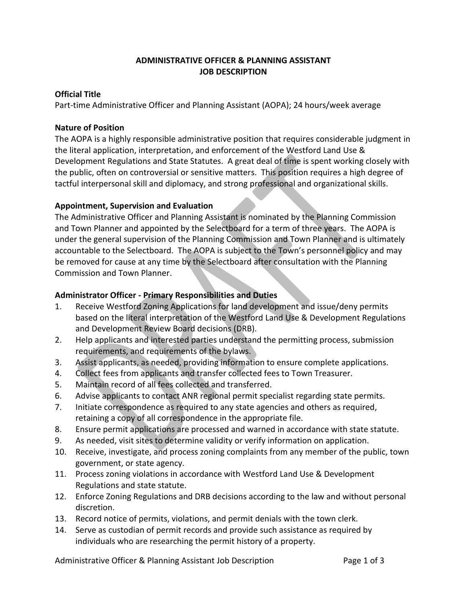# **ADMINISTRATIVE OFFICER & PLANNING ASSISTANT JOB DESCRIPTION**

## **Official Title**

Part-time Administrative Officer and Planning Assistant (AOPA); 24 hours/week average

## **Nature of Position**

The AOPA is a highly responsible administrative position that requires considerable judgment in the literal application, interpretation, and enforcement of the Westford Land Use & Development Regulations and State Statutes. A great deal of time is spent working closely with the public, often on controversial or sensitive matters. This position requires a high degree of tactful interpersonal skill and diplomacy, and strong professional and organizational skills.

## **Appointment, Supervision and Evaluation**

The Administrative Officer and Planning Assistant is nominated by the Planning Commission and Town Planner and appointed by the Selectboard for a term of three years. The AOPA is under the general supervision of the Planning Commission and Town Planner and is ultimately accountable to the Selectboard. The AOPA is subject to the Town's personnel policy and may be removed for cause at any time by the Selectboard after consultation with the Planning Commission and Town Planner.

## **Administrator Officer - Primary Responsibilities and Duties**

- 1. Receive Westford Zoning Applications for land development and issue/deny permits based on the literal interpretation of the Westford Land Use & Development Regulations and Development Review Board decisions (DRB).
- 2. Help applicants and interested parties understand the permitting process, submission requirements, and requirements of the bylaws.
- 3. Assist applicants, as needed, providing information to ensure complete applications.
- 4. Collect fees from applicants and transfer collected fees to Town Treasurer.
- 5. Maintain record of all fees collected and transferred.
- 6. Advise applicants to contact ANR regional permit specialist regarding state permits.
- 7. Initiate correspondence as required to any state agencies and others as required, retaining a copy of all correspondence in the appropriate file.
- 8. Ensure permit applications are processed and warned in accordance with state statute.
- 9. As needed, visit sites to determine validity or verify information on application.
- 10. Receive, investigate, and process zoning complaints from any member of the public, town government, or state agency.
- 11. Process zoning violations in accordance with Westford Land Use & Development Regulations and state statute.
- 12. Enforce Zoning Regulations and DRB decisions according to the law and without personal discretion.
- 13. Record notice of permits, violations, and permit denials with the town clerk.
- 14. Serve as custodian of permit records and provide such assistance as required by individuals who are researching the permit history of a property.

Administrative Officer & Planning Assistant Job Description Page 1 of 3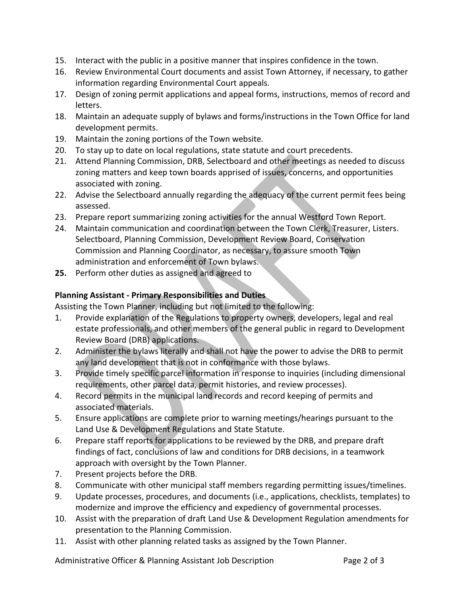- 15. Interact with the public in a positive manner that inspires confidence in the town.
- 16. Review Environmental Court documents and assist Town Attorney, if necessary, to gather information regarding Environmental Court appeals.
- 17. Design of zoning permit applications and appeal forms, instructions, memos of record and letters.
- 18. Maintain an adequate supply of bylaws and forms/instructions in the Town Office for land development permits.
- 19. Maintain the zoning portions of the Town website.
- 20. To stay up to date on local regulations, state statute and court precedents.
- 21. Attend Planning Commission, DRB, Selectboard and other meetings as needed to discuss zoning matters and keep town boards apprised of issues, concerns, and opportunities associated with zoning.
- 22. Advise the Selectboard annually regarding the adequacy of the current permit fees being assessed.
- 23. Prepare report summarizing zoning activities for the annual Westford Town Report.
- 24. Maintain communication and coordination between the Town Clerk, Treasurer, Listers. Selectboard, Planning Commission, Development Review Board, Conservation Commission and Planning Coordinator, as necessary, to assure smooth Town administration and enforcement of Town bylaws.
- **25.** Perform other duties as assigned and agreed to

# **Planning Assistant - Primary Responsibilities and Duties**

Assisting the Town Planner, including but not limited to the following:

- 1. Provide explanation of the Regulations to property owners, developers, legal and real estate professionals, and other members of the general public in regard to Development Review Board (DRB) applications.
- 2. Administer the bylaws literally and shall not have the power to advise the DRB to permit any land development that is not in conformance with those bylaws.
- 3. Provide timely specific parcel information in response to inquiries (including dimensional requirements, other parcel data, permit histories, and review processes).
- 4. Record permits in the municipal land records and record keeping of permits and associated materials.
- 5. Ensure applications are complete prior to warning meetings/hearings pursuant to the Land Use & Development Regulations and State Statute.
- 6. Prepare staff reports for applications to be reviewed by the DRB, and prepare draft findings of fact, conclusions of law and conditions for DRB decisions, in a teamwork approach with oversight by the Town Planner.
- 7. Present projects before the DRB.
- 8. Communicate with other municipal staff members regarding permitting issues/timelines.
- 9. Update processes, procedures, and documents (i.e., applications, checklists, templates) to modernize and improve the efficiency and expediency of governmental processes.
- 10. Assist with the preparation of draft Land Use & Development Regulation amendments for presentation to the Planning Commission.
- 11. Assist with other planning related tasks as assigned by the Town Planner.

Administrative Officer & Planning Assistant Job Description Page 2 of 3